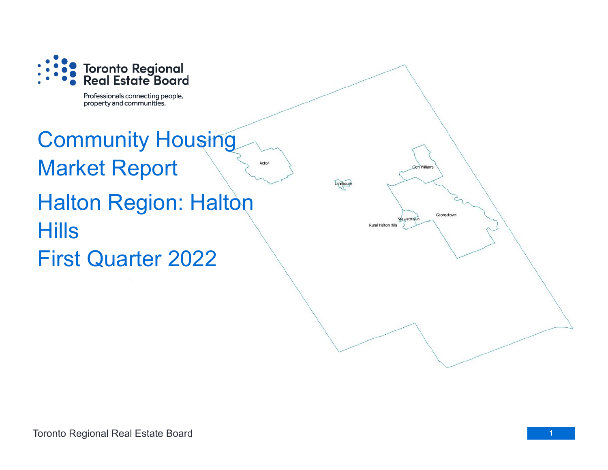

Professionals connecting people, property and communities.

## Community Housing Market Report Acton Halton Region: Halton **Hills** First Quarter 2022

Dmehouse Georgetown Rural Halton Hills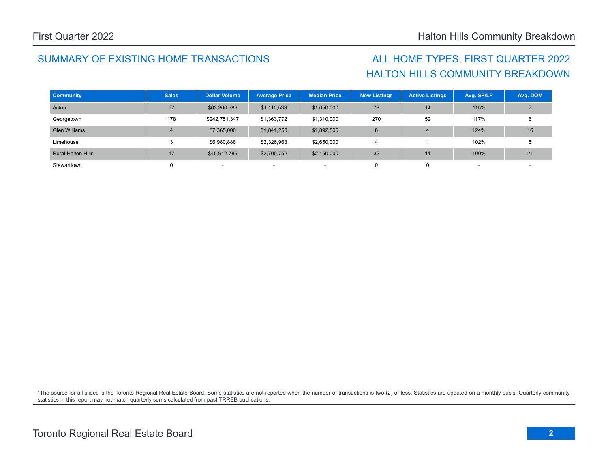## SUMMARY OF EXISTING HOME TRANSACTIONS ALL HOME TYPES, FIRST QUARTER 2022

## HALTON HILLS COMMUNITY BREAKDOWN

| <b>Community</b>          | <b>Sales</b> | <b>Dollar Volume</b> | <b>Average Price</b> | <b>Median Price</b> | <b>New Listings</b> | <b>Active Listings</b> | Avg. SP/LP | Avg. DOM |
|---------------------------|--------------|----------------------|----------------------|---------------------|---------------------|------------------------|------------|----------|
| Acton                     | 57           | \$63,300,386         | \$1,110,533          | \$1,050,000         | 78                  | 14                     | 115%       |          |
| Georgetown                | 178          | \$242,751,347        | \$1,363,772          | \$1,310,000         | 270                 | 52                     | 117%       | 6        |
| <b>Glen Williams</b>      | 4            | \$7,365,000          | \$1,841,250          | \$1,892,500         | 8                   |                        | 124%       | 16       |
| Limehouse                 | ົ            | \$6,980,888          | \$2,326,963          | \$2,650,000         | 4                   |                        | 102%       | 5        |
| <b>Rural Halton Hills</b> | 17           | \$45,912,786         | \$2,700,752          | \$2,150,000         | 32                  | 14                     | 100%       | 21       |
| Stewarttown               | 0            |                      |                      |                     | 0                   | 0                      |            |          |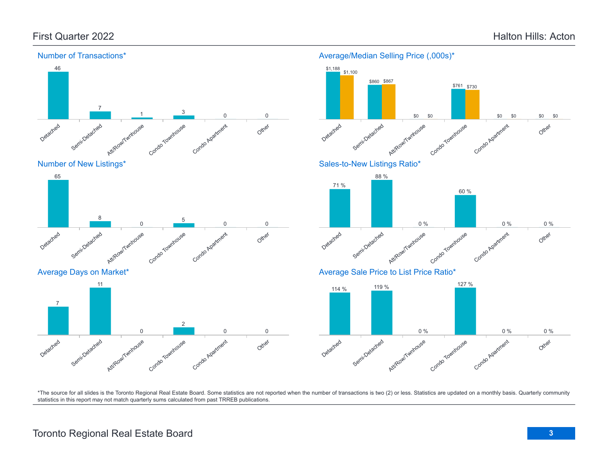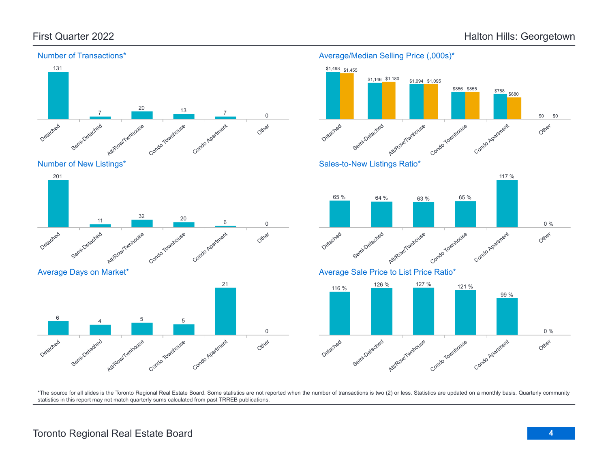

Number of New Listings\*



Average Days on Market\*



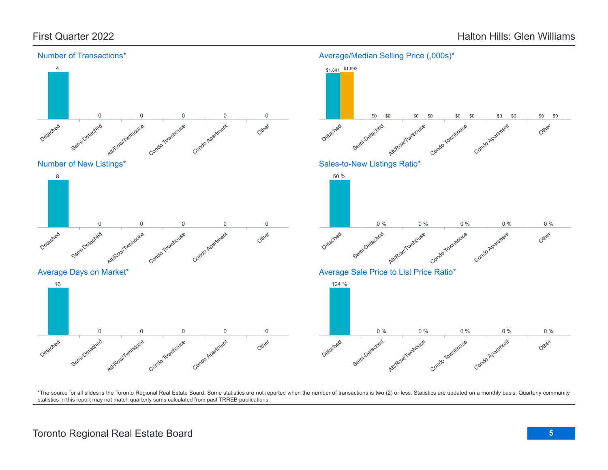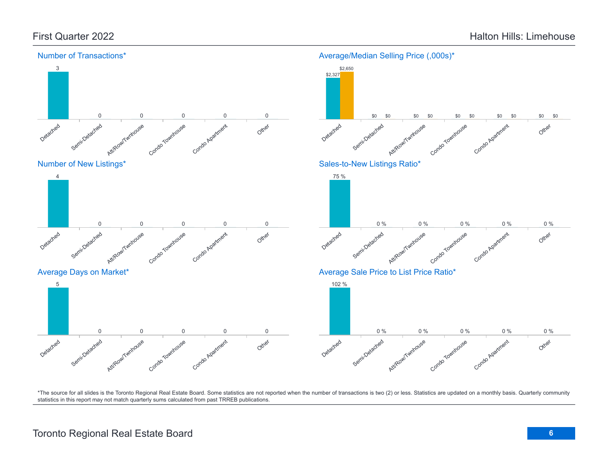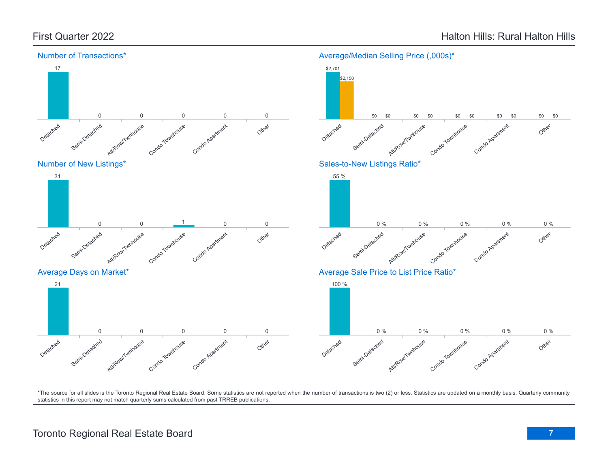